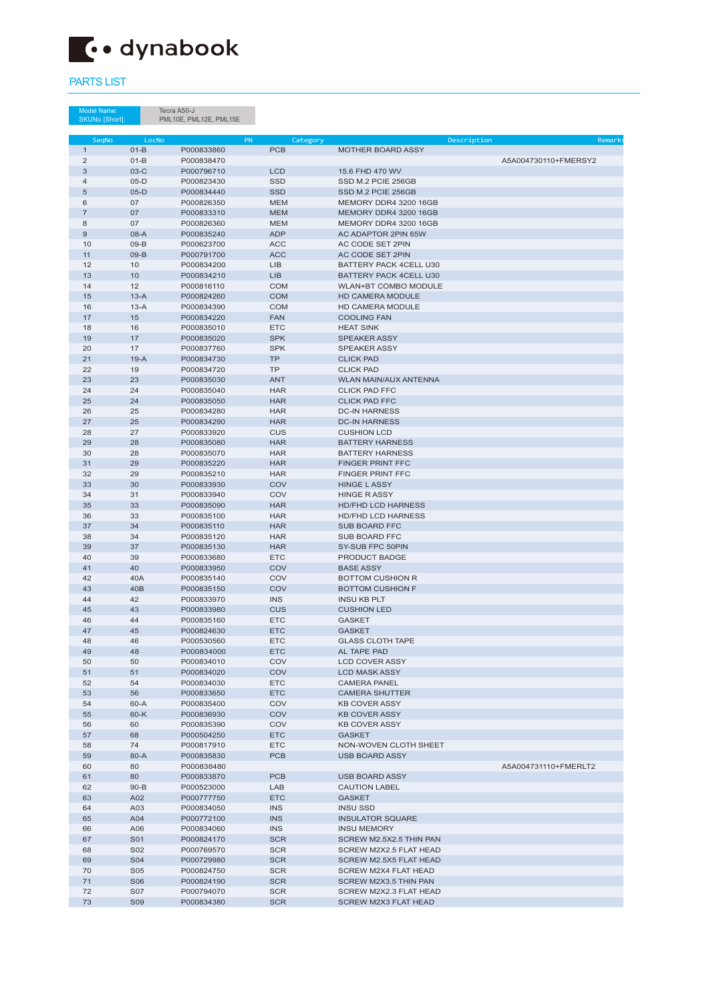Tecra A50-J PML10E, PML12E, PML15E

Model Name: SKUNo [Short]:

| SegNo          | LocNo           |            | <b>PN</b><br>Category       | Description                   | Remark:              |
|----------------|-----------------|------------|-----------------------------|-------------------------------|----------------------|
| $\mathbf{1}$   | $01-B$          | P000833860 | <b>PCB</b>                  | <b>MOTHER BOARD ASSY</b>      |                      |
| 2              | $01-B$          | P000838470 |                             |                               | A5A004730110+FMERSY2 |
| 3              | $03-C$          | P000796710 | <b>LCD</b>                  | 15.6 FHD 470 WV               |                      |
| $\overline{4}$ | $05-D$          | P000823430 | <b>SSD</b>                  | SSD M.2 PCIE 256GB            |                      |
| 5              | $05-D$          | P000834440 | <b>SSD</b>                  | SSD M.2 PCIE 256GB            |                      |
| 6              | 07              | P000826350 | <b>MEM</b>                  | MEMORY DDR4 3200 16GB         |                      |
| $\overline{7}$ | 07              | P000833310 | <b>MEM</b>                  | MEMORY DDR4 3200 16GB         |                      |
| 8              | 07              | P000826360 | <b>MEM</b>                  | MEMORY DDR4 3200 16GB         |                      |
| 9              | 08-A            | P000835240 | <b>ADP</b>                  | AC ADAPTOR 2PIN 65W           |                      |
| 10             | $09-B$          | P000623700 | <b>ACC</b>                  | AC CODE SET 2PIN              |                      |
| 11             | $09-B$          | P000791700 | <b>ACC</b>                  | AC CODE SET 2PIN              |                      |
| 12             | 10              | P000834200 | <b>LIB</b>                  | BATTERY PACK 4CELL U30        |                      |
| 13             | 10              | P000834210 | LIB                         | <b>BATTERY PACK 4CELL U30</b> |                      |
| 14             | 12              | P000816110 | <b>COM</b>                  | <b>WLAN+BT COMBO MODULE</b>   |                      |
| 15             | $13-A$          | P000824260 | <b>COM</b>                  | <b>HD CAMERA MODULE</b>       |                      |
| 16             | $13-A$          | P000834390 | <b>COM</b>                  | <b>HD CAMERA MODULE</b>       |                      |
| 17             | 15              | P000834220 | <b>FAN</b>                  | <b>COOLING FAN</b>            |                      |
| 18             | 16              | P000835010 | <b>ETC</b>                  | <b>HEAT SINK</b>              |                      |
| 19             | 17              | P000835020 | <b>SPK</b>                  | <b>SPEAKER ASSY</b>           |                      |
| 20             | 17              | P000837760 | <b>SPK</b>                  | <b>SPEAKER ASSY</b>           |                      |
| 21             | $19-A$          | P000834730 | <b>TP</b>                   | <b>CLICK PAD</b>              |                      |
| 22             | 19              | P000834720 | <b>TP</b>                   | <b>CLICK PAD</b>              |                      |
| 23             | 23              | P000835030 | <b>ANT</b>                  | WLAN MAIN/AUX ANTENNA         |                      |
| 24             | 24              | P000835040 | <b>HAR</b>                  | <b>CLICK PAD FFC</b>          |                      |
| 25             | 24              | P000835050 | <b>HAR</b>                  | <b>CLICK PAD FFC</b>          |                      |
| 26             | 25              | P000834280 | <b>HAR</b>                  | <b>DC-IN HARNESS</b>          |                      |
| 27             | 25              | P000834290 | <b>HAR</b>                  | <b>DC-IN HARNESS</b>          |                      |
| 28             | 27              | P000833920 | CUS                         | <b>CUSHION LCD</b>            |                      |
| 29             | 28              | P000835080 | <b>HAR</b>                  | <b>BATTERY HARNESS</b>        |                      |
| 30             | 28              | P000835070 | <b>HAR</b>                  | <b>BATTERY HARNESS</b>        |                      |
| 31             | 29              | P000835220 | <b>HAR</b>                  | <b>FINGER PRINT FFC</b>       |                      |
| 32             | 29              | P000835210 | <b>HAR</b>                  | <b>FINGER PRINT FFC</b>       |                      |
| 33             | 30              | P000833930 | <b>COV</b>                  | <b>HINGE LASSY</b>            |                      |
| 34             | 31              | P000833940 | COV                         | <b>HINGE RASSY</b>            |                      |
| 35             | 33              | P000835090 | <b>HAR</b>                  | <b>HD/FHD LCD HARNESS</b>     |                      |
| 36             | 33              | P000835100 | <b>HAR</b>                  | <b>HD/FHD LCD HARNESS</b>     |                      |
| 37             | 34              | P000835110 | <b>HAR</b>                  | <b>SUB BOARD FFC</b>          |                      |
| 38             | 34              | P000835120 | <b>HAR</b>                  | <b>SUB BOARD FFC</b>          |                      |
| 39             | 37              | P000835130 | <b>HAR</b>                  | SY-SUB FPC 50PIN              |                      |
| 40             | 39              | P000833680 | <b>ETC</b>                  | <b>PRODUCT BADGE</b>          |                      |
| 41             | 40              | P000833950 | COV                         | <b>BASE ASSY</b>              |                      |
| 42             | 40A             | P000835140 | COV                         | <b>BOTTOM CUSHION R</b>       |                      |
| 43             | 40 <sub>B</sub> | P000835150 | COV                         | <b>BOTTOM CUSHION F</b>       |                      |
| 44             | 42              | P000833970 | <b>INS</b>                  | <b>INSU KB PLT</b>            |                      |
| 45             | 43              | P000833980 | <b>CUS</b>                  | <b>CUSHION LED</b>            |                      |
| 46             | 44              | P000835160 | <b>ETC</b>                  | <b>GASKET</b>                 |                      |
| 47             | 45              | P000824630 | <b>ETC</b>                  | <b>GASKET</b>                 |                      |
| 48             | 46              | P000530560 | <b>ETC</b>                  | <b>GLASS CLOTH TAPE</b>       |                      |
| 49             | 48              | P000834000 | <b>ETC</b>                  | AL TAPE PAD                   |                      |
| 50             | 50              | P000834010 | COV                         | <b>LCD COVER ASSY</b>         |                      |
| 51             | 51              | P000834020 | COV                         | <b>LCD MASK ASSY</b>          |                      |
| 52             | 54              | P000834030 | <b>ETC</b>                  | <b>CAMERA PANEL</b>           |                      |
| 53             | 56              | P000833650 | <b>ETC</b>                  | <b>CAMERA SHUTTER</b>         |                      |
| 54             | $60 - A$        | P000835400 | COV                         | <b>KB COVER ASSY</b>          |                      |
| 55             | $60-K$          | P000836930 | COV                         | <b>KB COVER ASSY</b>          |                      |
| 56             | 60              | P000835390 | COV                         | <b>KB COVER ASSY</b>          |                      |
| 57             | 68              | P000504250 | ETC                         | <b>GASKET</b>                 |                      |
| 58             | 74              | P000817910 | <b>ETC</b>                  | NON-WOVEN CLOTH SHEET         |                      |
| 59             | 80-A            | P000835830 | <b>PCB</b>                  | <b>USB BOARD ASSY</b>         |                      |
| 60             | 80              | P000838480 |                             |                               | A5A004731110+FMERLT2 |
| 61             | 80              | P000833870 | <b>PCB</b>                  | <b>USB BOARD ASSY</b>         |                      |
| 62             | $90 - B$        | P000523000 | LAB                         | <b>CAUTION LABEL</b>          |                      |
| 63             | A02             | P000777750 | <b>ETC</b>                  | <b>GASKET</b>                 |                      |
| 64             | A03             | P000834050 | <b>INS</b>                  | <b>INSU SSD</b>               |                      |
| 65             | A04             | P000772100 | <b>INS</b>                  | <b>INSULATOR SQUARE</b>       |                      |
| 66             | A06             | P000834060 | <b>INS</b>                  | <b>INSU MEMORY</b>            |                      |
| 67             | S01             | P000824170 | <b>SCR</b>                  | SCREW M2.5X2.5 THIN PAN       |                      |
| 68             | S <sub>02</sub> | P000769570 | <b>SCR</b>                  | <b>SCREW M2X2.5 FLAT HEAD</b> |                      |
| 69             | <b>S04</b>      | P000729980 | <b>SCR</b>                  | <b>SCREW M2.5X5 FLAT HEAD</b> |                      |
| 70             | <b>S05</b>      | P000824750 | <b>SCR</b>                  | <b>SCREW M2X4 FLAT HEAD</b>   |                      |
| 71             | <b>S06</b>      | P000824190 | <b>SCR</b>                  | <b>SCREW M2X3.5 THIN PAN</b>  |                      |
| 72             | <b>S07</b>      | P000794070 | $\ensuremath{\mathsf{SCR}}$ | SCREW M2X2.3 FLAT HEAD        |                      |
| 73             | <b>S09</b>      | P000834380 | <b>SCR</b>                  | <b>SCREW M2X3 FLAT HEAD</b>   |                      |



## PARTS LIST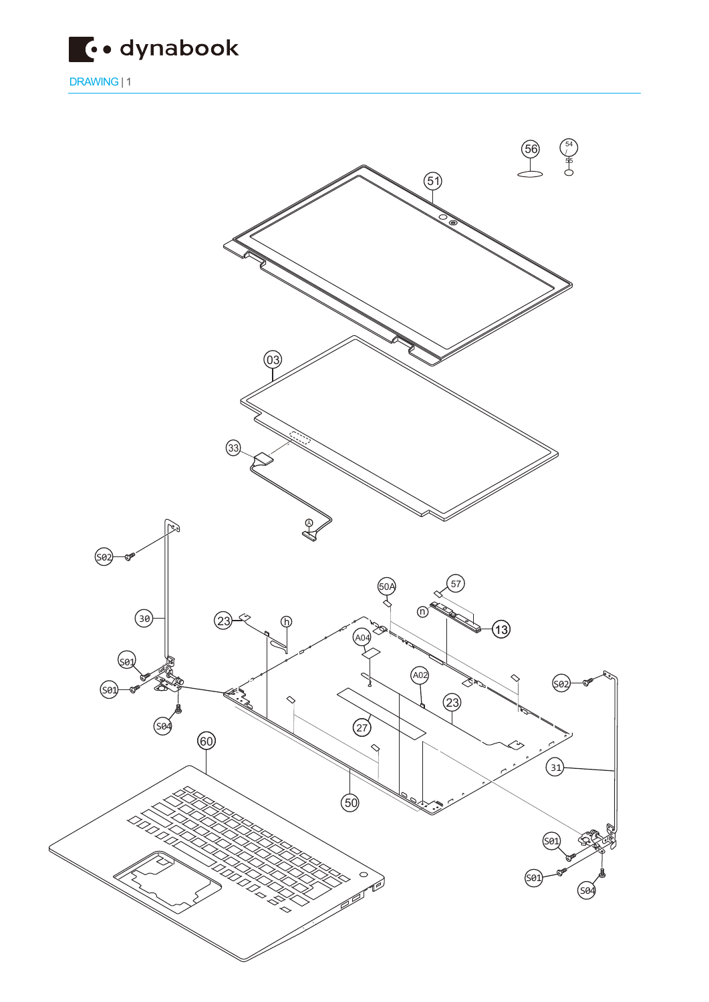

DRAWING | 1